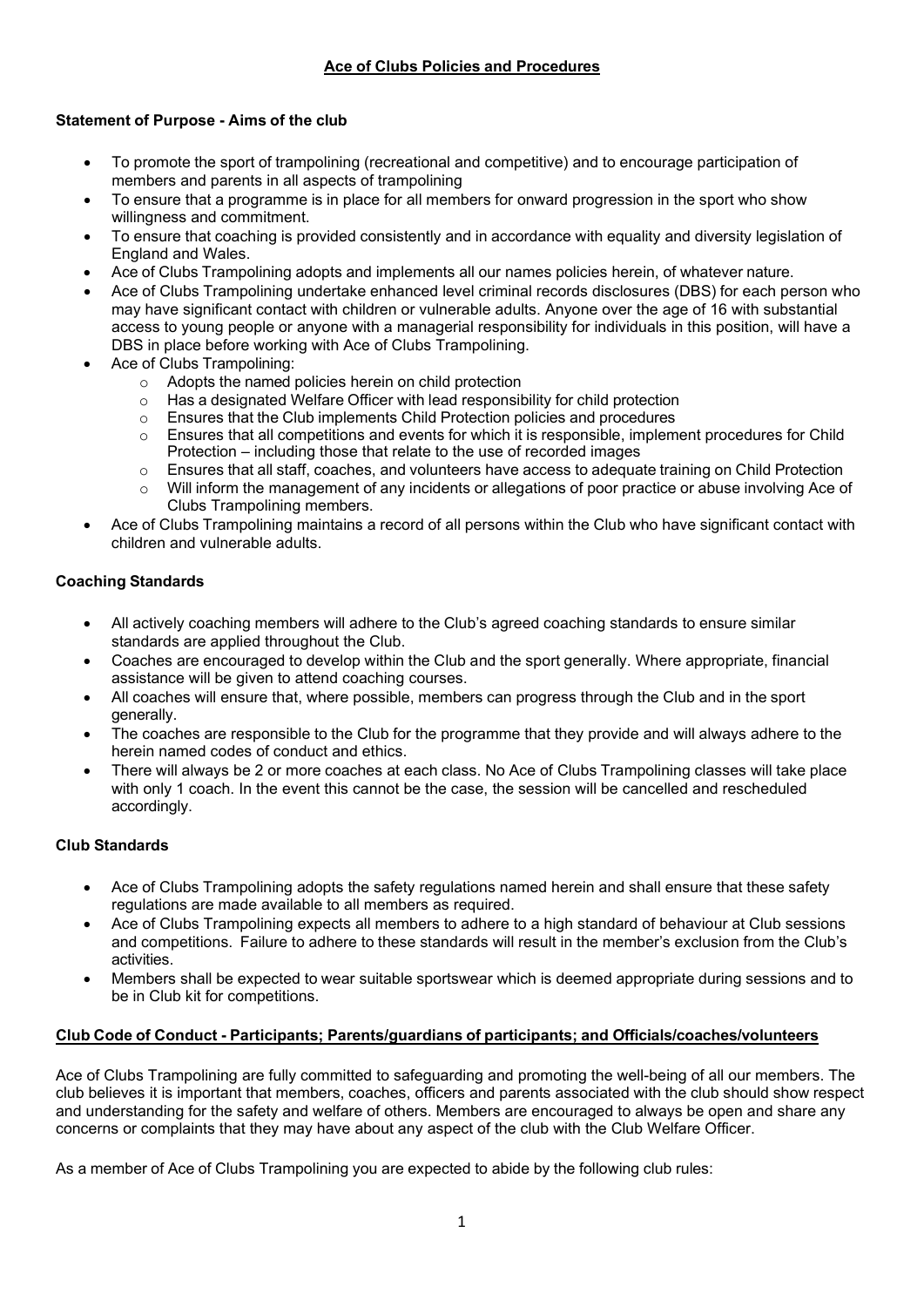# **Statement of Purpose - Aims of the club**

- To promote the sport of trampolining (recreational and competitive) and to encourage participation of members and parents in all aspects of trampolining
- To ensure that a programme is in place for all members for onward progression in the sport who show willingness and commitment.
- To ensure that coaching is provided consistently and in accordance with equality and diversity legislation of England and Wales.
- Ace of Clubs Trampolining adopts and implements all our names policies herein, of whatever nature.
- Ace of Clubs Trampolining undertake enhanced level criminal records disclosures (DBS) for each person who may have significant contact with children or vulnerable adults. Anyone over the age of 16 with substantial access to young people or anyone with a managerial responsibility for individuals in this position, will have a DBS in place before working with Ace of Clubs Trampolining.
- Ace of Clubs Trampolining:
	- o Adopts the named policies herein on child protection
	- $\circ$  Has a designated Welfare Officer with lead responsibility for child protection  $\circ$  Ensures that the Club implements Child Protection policies and procedures
	- $\circ$  Ensures that the Club implements Child Protection policies and procedures  $\circ$  Ensures that all competitions and events for which it is responsible, implem
	- Ensures that all competitions and events for which it is responsible, implement procedures for Child Protection – including those that relate to the use of recorded images
	- o Ensures that all staff, coaches, and volunteers have access to adequate training on Child Protection<br>Q. Will inform the management of any incidents or allegations of poor practice or abuse involving Ace or
	- Will inform the management of any incidents or allegations of poor practice or abuse involving Ace of Clubs Trampolining members.
- Ace of Clubs Trampolining maintains a record of all persons within the Club who have significant contact with children and vulnerable adults.

## **Coaching Standards**

- All actively coaching members will adhere to the Club's agreed coaching standards to ensure similar standards are applied throughout the Club.
- Coaches are encouraged to develop within the Club and the sport generally. Where appropriate, financial assistance will be given to attend coaching courses.
- All coaches will ensure that, where possible, members can progress through the Club and in the sport generally.
- The coaches are responsible to the Club for the programme that they provide and will always adhere to the herein named codes of conduct and ethics.
- There will always be 2 or more coaches at each class. No Ace of Clubs Trampolining classes will take place with only 1 coach. In the event this cannot be the case, the session will be cancelled and rescheduled accordingly.

## **Club Standards**

- Ace of Clubs Trampolining adopts the safety regulations named herein and shall ensure that these safety regulations are made available to all members as required.
- Ace of Clubs Trampolining expects all members to adhere to a high standard of behaviour at Club sessions and competitions. Failure to adhere to these standards will result in the member's exclusion from the Club's activities.
- Members shall be expected to wear suitable sportswear which is deemed appropriate during sessions and to be in Club kit for competitions.

## **Club Code of Conduct - Participants; Parents/guardians of participants; and Officials/coaches/volunteers**

Ace of Clubs Trampolining are fully committed to safeguarding and promoting the well-being of all our members. The club believes it is important that members, coaches, officers and parents associated with the club should show respect and understanding for the safety and welfare of others. Members are encouraged to always be open and share any concerns or complaints that they may have about any aspect of the club with the Club Welfare Officer.

As a member of Ace of Clubs Trampolining you are expected to abide by the following club rules: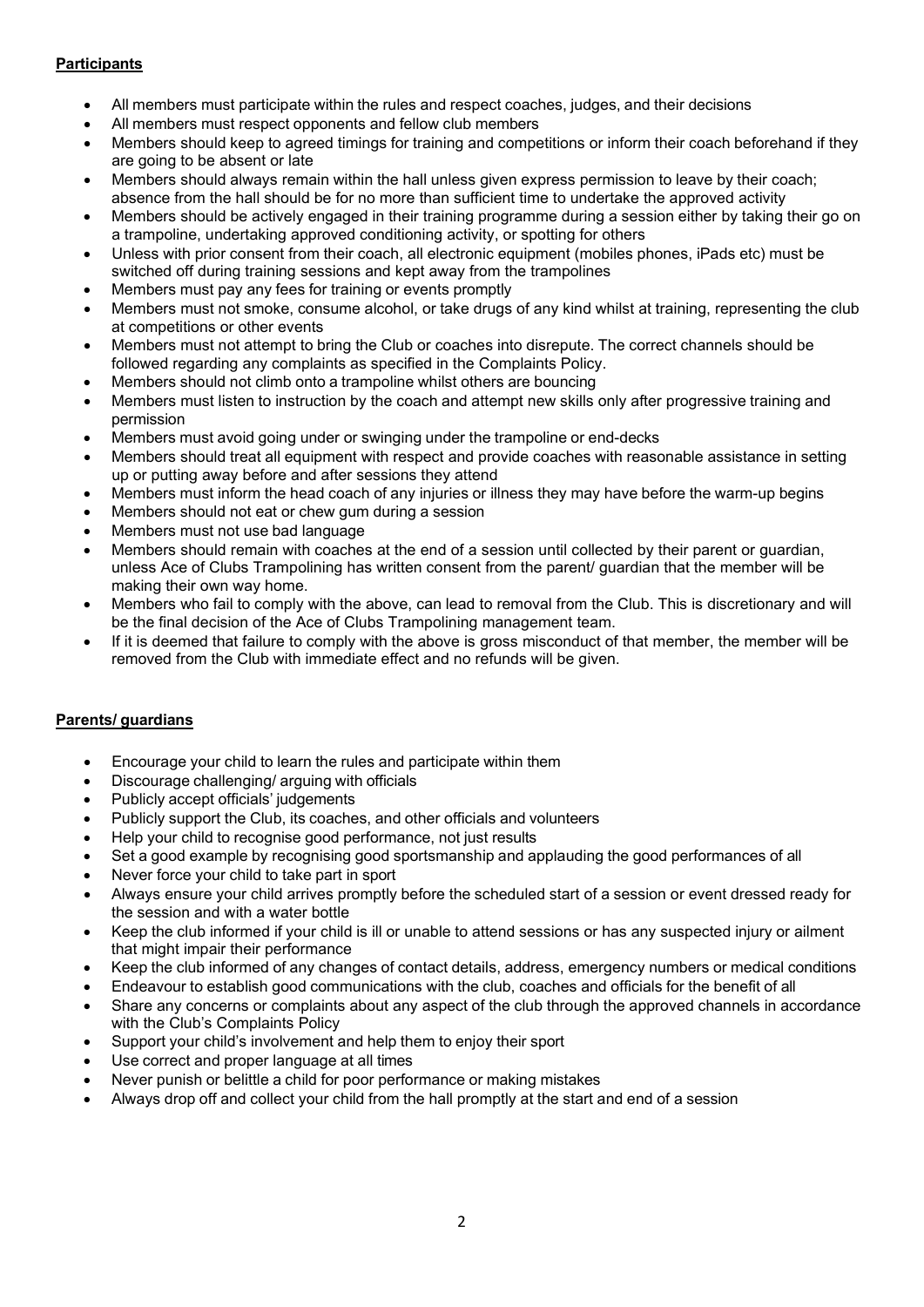# **Participants**

- All members must participate within the rules and respect coaches, judges, and their decisions
- All members must respect opponents and fellow club members
- Members should keep to agreed timings for training and competitions or inform their coach beforehand if they are going to be absent or late
- Members should always remain within the hall unless given express permission to leave by their coach; absence from the hall should be for no more than sufficient time to undertake the approved activity
- Members should be actively engaged in their training programme during a session either by taking their go on a trampoline, undertaking approved conditioning activity, or spotting for others
- Unless with prior consent from their coach, all electronic equipment (mobiles phones, iPads etc) must be switched off during training sessions and kept away from the trampolines
- Members must pay any fees for training or events promptly
- Members must not smoke, consume alcohol, or take drugs of any kind whilst at training, representing the club at competitions or other events
- Members must not attempt to bring the Club or coaches into disrepute. The correct channels should be followed regarding any complaints as specified in the Complaints Policy.
- Members should not climb onto a trampoline whilst others are bouncing
- Members must listen to instruction by the coach and attempt new skills only after progressive training and permission
- Members must avoid going under or swinging under the trampoline or end-decks
- Members should treat all equipment with respect and provide coaches with reasonable assistance in setting up or putting away before and after sessions they attend
- Members must inform the head coach of any injuries or illness they may have before the warm-up begins
- Members should not eat or chew gum during a session
- Members must not use bad language
- Members should remain with coaches at the end of a session until collected by their parent or guardian, unless Ace of Clubs Trampolining has written consent from the parent/ guardian that the member will be making their own way home.
- Members who fail to comply with the above, can lead to removal from the Club. This is discretionary and will be the final decision of the Ace of Clubs Trampolining management team.
- If it is deemed that failure to comply with the above is gross misconduct of that member, the member will be removed from the Club with immediate effect and no refunds will be given.

## **Parents/ guardians**

- Encourage your child to learn the rules and participate within them
- Discourage challenging/ arguing with officials
- Publicly accept officials' judgements
- Publicly support the Club, its coaches, and other officials and volunteers
- Help your child to recognise good performance, not just results
- Set a good example by recognising good sportsmanship and applauding the good performances of all
- Never force your child to take part in sport
- Always ensure your child arrives promptly before the scheduled start of a session or event dressed ready for the session and with a water bottle
- Keep the club informed if your child is ill or unable to attend sessions or has any suspected injury or ailment that might impair their performance
- Keep the club informed of any changes of contact details, address, emergency numbers or medical conditions
- Endeavour to establish good communications with the club, coaches and officials for the benefit of all
- Share any concerns or complaints about any aspect of the club through the approved channels in accordance with the Club's Complaints Policy
- Support your child's involvement and help them to enjoy their sport
- Use correct and proper language at all times
- Never punish or belittle a child for poor performance or making mistakes
- Always drop off and collect your child from the hall promptly at the start and end of a session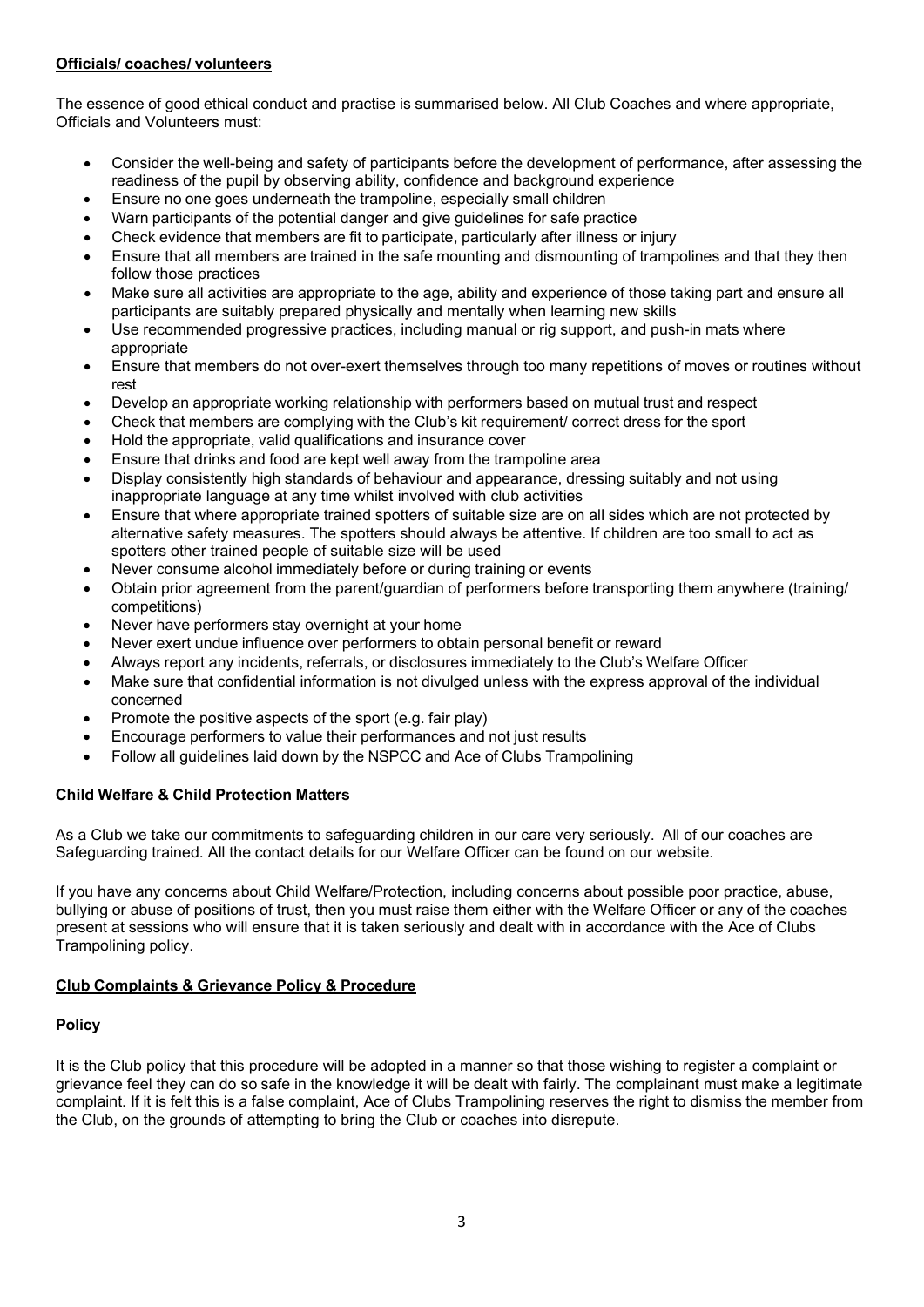## **Officials/ coaches/ volunteers**

The essence of good ethical conduct and practise is summarised below. All Club Coaches and where appropriate, Officials and Volunteers must:

- Consider the well-being and safety of participants before the development of performance, after assessing the readiness of the pupil by observing ability, confidence and background experience
- Ensure no one goes underneath the trampoline, especially small children
- Warn participants of the potential danger and give guidelines for safe practice
- Check evidence that members are fit to participate, particularly after illness or injury
- Ensure that all members are trained in the safe mounting and dismounting of trampolines and that they then follow those practices
- Make sure all activities are appropriate to the age, ability and experience of those taking part and ensure all participants are suitably prepared physically and mentally when learning new skills
- Use recommended progressive practices, including manual or rig support, and push-in mats where appropriate
- Ensure that members do not over-exert themselves through too many repetitions of moves or routines without rest
- Develop an appropriate working relationship with performers based on mutual trust and respect
- Check that members are complying with the Club's kit requirement/ correct dress for the sport
- Hold the appropriate, valid qualifications and insurance cover
- Ensure that drinks and food are kept well away from the trampoline area
- Display consistently high standards of behaviour and appearance, dressing suitably and not using inappropriate language at any time whilst involved with club activities
- Ensure that where appropriate trained spotters of suitable size are on all sides which are not protected by alternative safety measures. The spotters should always be attentive. If children are too small to act as spotters other trained people of suitable size will be used
- Never consume alcohol immediately before or during training or events
- Obtain prior agreement from the parent/guardian of performers before transporting them anywhere (training/ competitions)
- Never have performers stay overnight at your home
- Never exert undue influence over performers to obtain personal benefit or reward
- Always report any incidents, referrals, or disclosures immediately to the Club's Welfare Officer
- Make sure that confidential information is not divulged unless with the express approval of the individual concerned
- Promote the positive aspects of the sport (e.g. fair play)
- Encourage performers to value their performances and not just results
- Follow all guidelines laid down by the NSPCC and Ace of Clubs Trampolining

# **Child Welfare & Child Protection Matters**

As a Club we take our commitments to safeguarding children in our care very seriously. All of our coaches are Safeguarding trained. All the contact details for our Welfare Officer can be found on our website.

If you have any concerns about Child Welfare/Protection, including concerns about possible poor practice, abuse, bullying or abuse of positions of trust, then you must raise them either with the Welfare Officer or any of the coaches present at sessions who will ensure that it is taken seriously and dealt with in accordance with the Ace of Clubs Trampolining policy.

## **Club Complaints & Grievance Policy & Procedure**

## **Policy**

It is the Club policy that this procedure will be adopted in a manner so that those wishing to register a complaint or grievance feel they can do so safe in the knowledge it will be dealt with fairly. The complainant must make a legitimate complaint. If it is felt this is a false complaint, Ace of Clubs Trampolining reserves the right to dismiss the member from the Club, on the grounds of attempting to bring the Club or coaches into disrepute.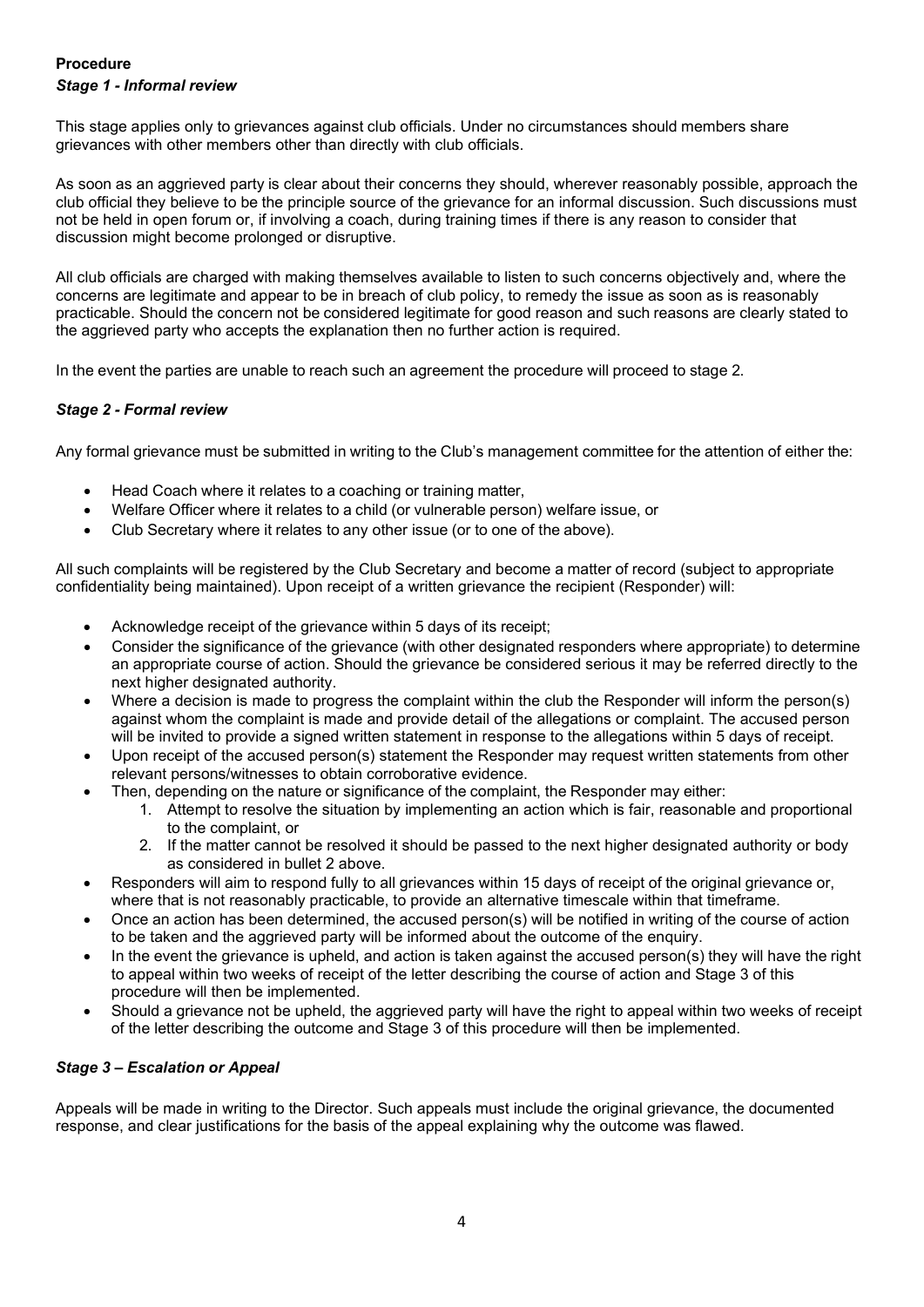# **Procedure** *Stage 1 - Informal review*

This stage applies only to grievances against club officials. Under no circumstances should members share grievances with other members other than directly with club officials.

As soon as an aggrieved party is clear about their concerns they should, wherever reasonably possible, approach the club official they believe to be the principle source of the grievance for an informal discussion. Such discussions must not be held in open forum or, if involving a coach, during training times if there is any reason to consider that discussion might become prolonged or disruptive.

All club officials are charged with making themselves available to listen to such concerns objectively and, where the concerns are legitimate and appear to be in breach of club policy, to remedy the issue as soon as is reasonably practicable. Should the concern not be considered legitimate for good reason and such reasons are clearly stated to the aggrieved party who accepts the explanation then no further action is required.

In the event the parties are unable to reach such an agreement the procedure will proceed to stage 2.

## *Stage 2 - Formal review*

Any formal grievance must be submitted in writing to the Club's management committee for the attention of either the:

- Head Coach where it relates to a coaching or training matter,
- Welfare Officer where it relates to a child (or vulnerable person) welfare issue, or
- Club Secretary where it relates to any other issue (or to one of the above).

All such complaints will be registered by the Club Secretary and become a matter of record (subject to appropriate confidentiality being maintained). Upon receipt of a written grievance the recipient (Responder) will:

- Acknowledge receipt of the grievance within 5 days of its receipt;
- Consider the significance of the grievance (with other designated responders where appropriate) to determine an appropriate course of action. Should the grievance be considered serious it may be referred directly to the next higher designated authority.
- Where a decision is made to progress the complaint within the club the Responder will inform the person(s) against whom the complaint is made and provide detail of the allegations or complaint. The accused person will be invited to provide a signed written statement in response to the allegations within 5 days of receipt.
- Upon receipt of the accused person(s) statement the Responder may request written statements from other relevant persons/witnesses to obtain corroborative evidence.
	- Then, depending on the nature or significance of the complaint, the Responder may either:
		- 1. Attempt to resolve the situation by implementing an action which is fair, reasonable and proportional to the complaint, or
		- 2. If the matter cannot be resolved it should be passed to the next higher designated authority or body as considered in bullet 2 above.
- Responders will aim to respond fully to all grievances within 15 days of receipt of the original grievance or, where that is not reasonably practicable, to provide an alternative timescale within that timeframe.
- Once an action has been determined, the accused person(s) will be notified in writing of the course of action to be taken and the aggrieved party will be informed about the outcome of the enquiry.
- In the event the grievance is upheld, and action is taken against the accused person(s) they will have the right to appeal within two weeks of receipt of the letter describing the course of action and Stage 3 of this procedure will then be implemented.
- Should a grievance not be upheld, the aggrieved party will have the right to appeal within two weeks of receipt of the letter describing the outcome and Stage 3 of this procedure will then be implemented.

## *Stage 3 – Escalation or Appeal*

Appeals will be made in writing to the Director. Such appeals must include the original grievance, the documented response, and clear justifications for the basis of the appeal explaining why the outcome was flawed.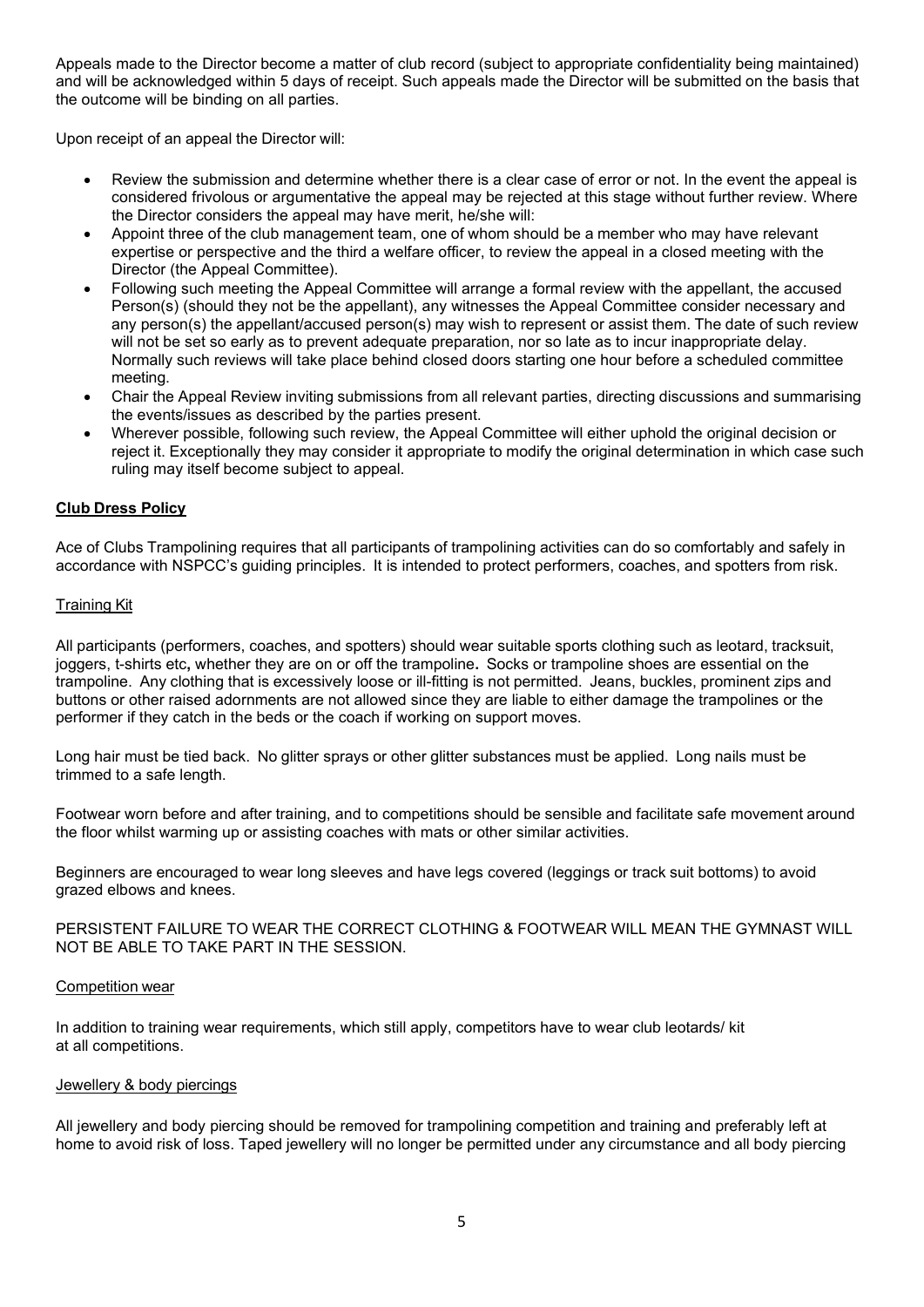Appeals made to the Director become a matter of club record (subject to appropriate confidentiality being maintained) and will be acknowledged within 5 days of receipt. Such appeals made the Director will be submitted on the basis that the outcome will be binding on all parties.

Upon receipt of an appeal the Director will:

- Review the submission and determine whether there is a clear case of error or not. In the event the appeal is considered frivolous or argumentative the appeal may be rejected at this stage without further review. Where the Director considers the appeal may have merit, he/she will:
- Appoint three of the club management team, one of whom should be a member who may have relevant expertise or perspective and the third a welfare officer, to review the appeal in a closed meeting with the Director (the Appeal Committee).
- Following such meeting the Appeal Committee will arrange a formal review with the appellant, the accused Person(s) (should they not be the appellant), any witnesses the Appeal Committee consider necessary and any person(s) the appellant/accused person(s) may wish to represent or assist them. The date of such review will not be set so early as to prevent adequate preparation, nor so late as to incur inappropriate delay. Normally such reviews will take place behind closed doors starting one hour before a scheduled committee meeting.
- Chair the Appeal Review inviting submissions from all relevant parties, directing discussions and summarising the events/issues as described by the parties present.
- Wherever possible, following such review, the Appeal Committee will either uphold the original decision or reject it. Exceptionally they may consider it appropriate to modify the original determination in which case such ruling may itself become subject to appeal.

### **Club Dress Policy**

Ace of Clubs Trampolining requires that all participants of trampolining activities can do so comfortably and safely in accordance with NSPCC's guiding principles. It is intended to protect performers, coaches, and spotters from risk.

#### Training Kit

All participants (performers, coaches, and spotters) should wear suitable sports clothing such as leotard, tracksuit, joggers, t-shirts etc**,** whether they are on or off the trampoline**.** Socks or trampoline shoes are essential on the trampoline. Any clothing that is excessively loose or ill-fitting is not permitted. Jeans, buckles, prominent zips and buttons or other raised adornments are not allowed since they are liable to either damage the trampolines or the performer if they catch in the beds or the coach if working on support moves.

Long hair must be tied back. No glitter sprays or other glitter substances must be applied. Long nails must be trimmed to a safe length.

Footwear worn before and after training, and to competitions should be sensible and facilitate safe movement around the floor whilst warming up or assisting coaches with mats or other similar activities.

Beginners are encouraged to wear long sleeves and have legs covered (leggings or track suit bottoms) to avoid grazed elbows and knees.

PERSISTENT FAILURE TO WEAR THE CORRECT CLOTHING & FOOTWEAR WILL MEAN THE GYMNAST WILL NOT BE ABLE TO TAKE PART IN THE SESSION.

#### Competition wear

In addition to training wear requirements, which still apply, competitors have to wear club leotards/ kit at all competitions.

#### Jewellery & body piercings

All jewellery and body piercing should be removed for trampolining competition and training and preferably left at home to avoid risk of loss. Taped jewellery will no longer be permitted under any circumstance and all body piercing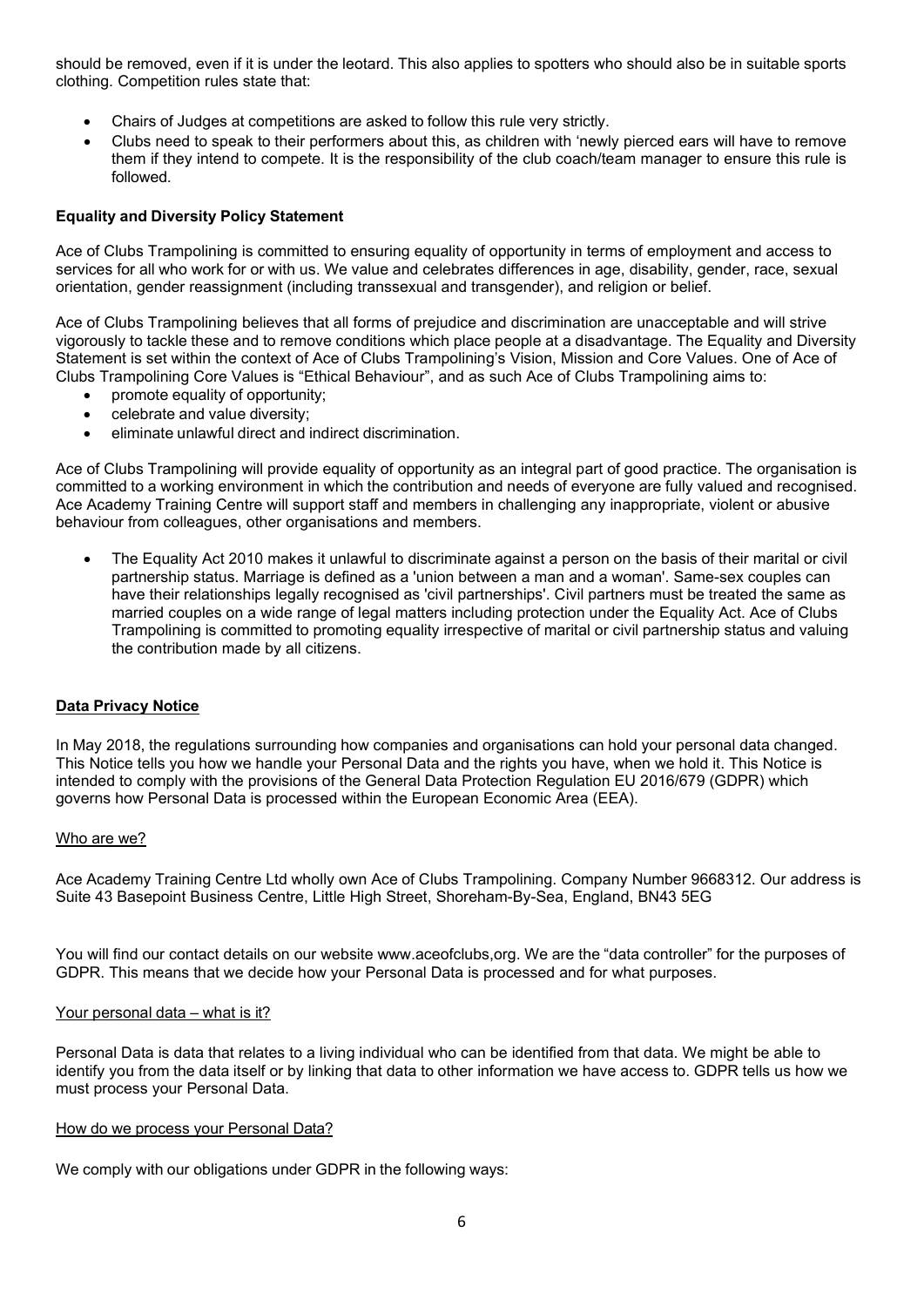should be removed, even if it is under the leotard. This also applies to spotters who should also be in suitable sports clothing. Competition rules state that:

- Chairs of Judges at competitions are asked to follow this rule very strictly.
- Clubs need to speak to their performers about this, as children with 'newly pierced ears will have to remove them if they intend to compete. It is the responsibility of the club coach/team manager to ensure this rule is followed.

## **Equality and Diversity Policy Statement**

Ace of Clubs Trampolining is committed to ensuring equality of opportunity in terms of employment and access to services for all who work for or with us. We value and celebrates differences in age, disability, gender, race, sexual orientation, gender reassignment (including transsexual and transgender), and religion or belief.

Ace of Clubs Trampolining believes that all forms of prejudice and discrimination are unacceptable and will strive vigorously to tackle these and to remove conditions which place people at a disadvantage. The Equality and Diversity Statement is set within the context of Ace of Clubs Trampolining's Vision, Mission and Core Values. One of Ace of Clubs Trampolining Core Values is "Ethical Behaviour", and as such Ace of Clubs Trampolining aims to:

- promote equality of opportunity;
- celebrate and value diversity;
- eliminate unlawful direct and indirect discrimination.

Ace of Clubs Trampolining will provide equality of opportunity as an integral part of good practice. The organisation is committed to a working environment in which the contribution and needs of everyone are fully valued and recognised. Ace Academy Training Centre will support staff and members in challenging any inappropriate, violent or abusive behaviour from colleagues, other organisations and members.

• The Equality Act 2010 makes it unlawful to discriminate against a person on the basis of their marital or civil partnership status. Marriage is defined as a 'union between a man and a woman'. Same-sex couples can have their relationships legally recognised as 'civil partnerships'. Civil partners must be treated the same as married couples on a wide range of legal matters including protection under the Equality Act. Ace of Clubs Trampolining is committed to promoting equality irrespective of marital or civil partnership status and valuing the contribution made by all citizens.

## **Data Privacy Notice**

In May 2018, the regulations surrounding how companies and organisations can hold your personal data changed. This Notice tells you how we handle your Personal Data and the rights you have, when we hold it. This Notice is intended to comply with the provisions of the General Data Protection Regulation EU 2016/679 (GDPR) which governs how Personal Data is processed within the European Economic Area (EEA).

#### Who are we?

Ace Academy Training Centre Ltd wholly own Ace of Clubs Trampolining. Company Number 9668312. Our address is Suite 43 Basepoint Business Centre, Little High Street, Shoreham-By-Sea, England, BN43 5EG

You will find our contact details on our website www.aceofclubs,org. We are the "data controller" for the purposes of GDPR. This means that we decide how your Personal Data is processed and for what purposes.

### Your personal data – what is it?

Personal Data is data that relates to a living individual who can be identified from that data. We might be able to identify you from the data itself or by linking that data to other information we have access to. GDPR tells us how we must process your Personal Data.

#### How do we process your Personal Data?

We comply with our obligations under GDPR in the following ways: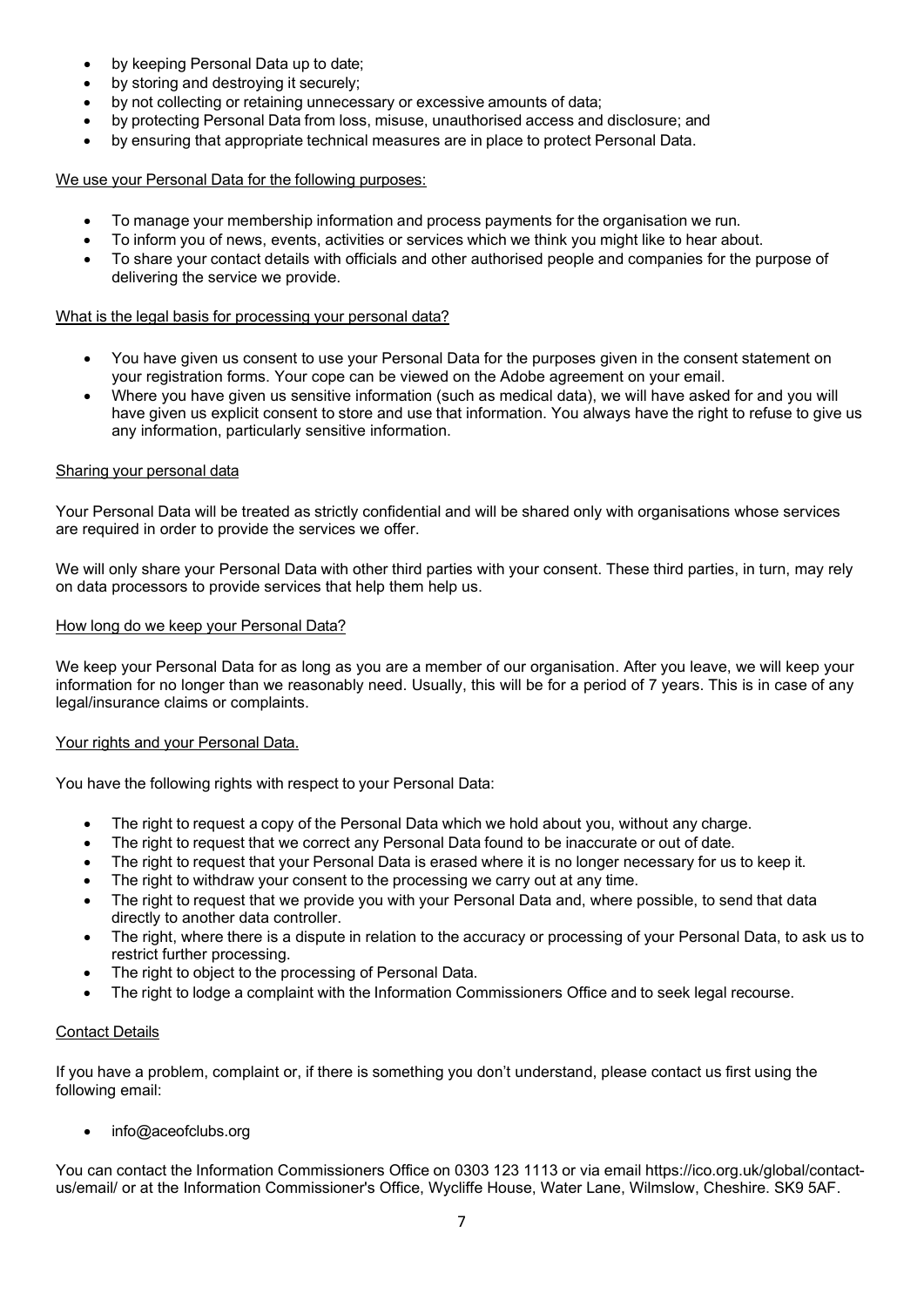- by keeping Personal Data up to date;
- by storing and destroying it securely;
- by not collecting or retaining unnecessary or excessive amounts of data;
- by protecting Personal Data from loss, misuse, unauthorised access and disclosure; and
- by ensuring that appropriate technical measures are in place to protect Personal Data.

## We use your Personal Data for the following purposes:

- To manage your membership information and process payments for the organisation we run.
- To inform you of news, events, activities or services which we think you might like to hear about.
- To share your contact details with officials and other authorised people and companies for the purpose of delivering the service we provide.

### What is the legal basis for processing your personal data?

- You have given us consent to use your Personal Data for the purposes given in the consent statement on your registration forms. Your cope can be viewed on the Adobe agreement on your email.
- Where you have given us sensitive information (such as medical data), we will have asked for and you will have given us explicit consent to store and use that information. You always have the right to refuse to give us any information, particularly sensitive information.

### Sharing your personal data

Your Personal Data will be treated as strictly confidential and will be shared only with organisations whose services are required in order to provide the services we offer.

We will only share your Personal Data with other third parties with your consent. These third parties, in turn, may rely on data processors to provide services that help them help us.

### How long do we keep your Personal Data?

We keep your Personal Data for as long as you are a member of our organisation. After you leave, we will keep your information for no longer than we reasonably need. Usually, this will be for a period of 7 years. This is in case of any legal/insurance claims or complaints.

## Your rights and your Personal Data.

You have the following rights with respect to your Personal Data:

- The right to request a copy of the Personal Data which we hold about you, without any charge.
- The right to request that we correct any Personal Data found to be inaccurate or out of date.
- The right to request that your Personal Data is erased where it is no longer necessary for us to keep it.
- The right to withdraw your consent to the processing we carry out at any time.
- The right to request that we provide you with your Personal Data and, where possible, to send that data directly to another data controller.
- The right, where there is a dispute in relation to the accuracy or processing of your Personal Data, to ask us to restrict further processing.
- The right to object to the processing of Personal Data.
- The right to lodge a complaint with the Information Commissioners Office and to seek legal recourse.

## Contact Details

If you have a problem, complaint or, if there is something you don't understand, please contact us first using the following email:

• [info@aceofclubs.org](mailto:info@aceofclubs.org)

You can contact the Information Commissioners Office on 0303 123 1113 or via email https://ico.org.uk/global/contactus/email/ or at the Information Commissioner's Office, Wycliffe House, Water Lane, Wilmslow, Cheshire. SK9 5AF.